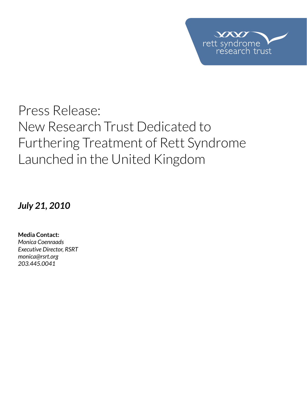

# Press Release: New Research Trust Dedicated to Furthering Treatment of Rett Syndrome Launched in the United Kingdom

*July 21, 2010*

**Media Contact:**  *Monica Coenraads Executive Director, RSRT monica@rsrt.org 203.445.0041*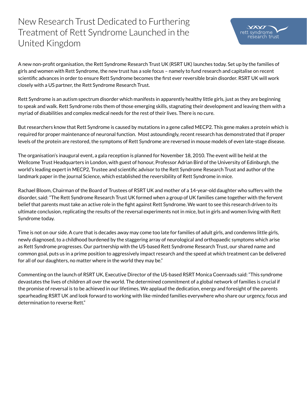New Research Trust Dedicated to Furthering Treatment of Rett Syndrome Launched in the United Kingdom

A new non-profit organisation, the Rett Syndrome Research Trust UK (RSRT UK) launches today. Set up by the families of girls and women with Rett Syndrome, the new trust has a sole focus – namely to fund research and capitalise on recent scientific advances in order to ensure Rett Syndrome becomes the first ever reversible brain disorder. RSRT UK will work closely with a US partner, the Rett Syndrome Research Trust.

Rett Syndrome is an autism spectrum disorder which manifests in apparently healthy little girls, just as they are beginning to speak and walk. Rett Syndrome robs them of those emerging skills, stagnating their development and leaving them with a myriad of disabilities and complex medical needs for the rest of their lives. There is no cure.

But researchers know that Rett Syndrome is caused by mutations in a gene called MECP2. This gene makes a protein which is required for proper maintenance of neuronal function. Most astoundingly, recent research has demonstrated that if proper levels of the protein are restored, the symptoms of Rett Syndrome are reversed in mouse models of even late-stage disease.

The organisation's inaugural event, a gala reception is planned for November 18, 2010. The event will be held at the Wellcome Trust Headquarters in London, with guest of honour, Professor Adrian Bird of the University of Edinburgh, the world's leading expert in MECP2, Trustee and scientific advisor to the Rett Syndrome Research Trust and author of the landmark paper in the journal Science, which established the reversibility of Rett Syndrome in mice.

Rachael Bloom, Chairman of the Board of Trustees of RSRT UK and mother of a 14-year-old daughter who suffers with the disorder, said: "The Rett Syndrome Research Trust UK formed when a group of UK families came together with the fervent belief that parents must take an active role in the fight against Rett Syndrome. We want to see this research driven to its ultimate conclusion, replicating the results of the reversal experiments not in mice, but in girls and women living with Rett Syndrome today.

Time is not on our side. A cure that is decades away may come too late for families of adult girls, and condemns little girls, newly diagnosed, to a childhood burdened by the staggering array of neurological and orthopaedic symptoms which arise as Rett Syndrome progresses. Our partnership with the US-based Rett Syndrome Research Trust, our shared name and common goal, puts us in a prime position to aggressively impact research and the speed at which treatment can be delivered for all of our daughters, no matter where in the world they may be."

Commenting on the launch of RSRT UK, Executive Director of the US-based RSRT Monica Coenraads said: "This syndrome devastates the lives of children all over the world. The determined commitment of a global network of families is crucial if the promise of reversal is to be achieved in our lifetimes. We applaud the dedication, energy and foresight of the parents spearheading RSRT UK and look forward to working with like-minded families everywhere who share our urgency, focus and determination to reverse Rett."